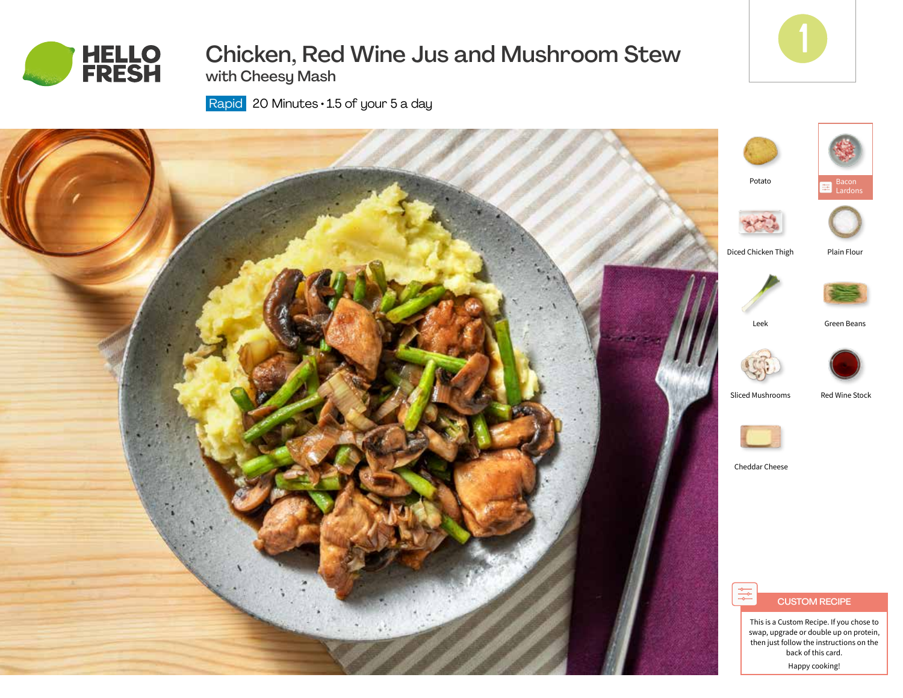

# Chicken, Red Wine Jus and Mushroom Stew with Cheesy Mash